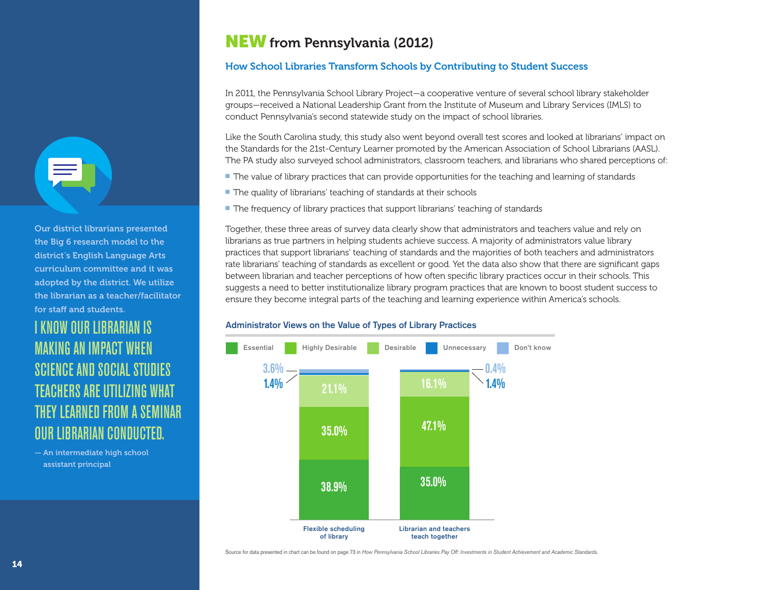## NEW from Pennsylvania (2012)

### How School Libraries Transform Schools by Contributing to Student Success

In 2011, the Pennsylvania School Library Project—a cooperative venture of several school library stakeholder groups—received a National Leadership Grant from the Institute of Museum and Library Services (IMLS) to conduct Pennsylvania's second statewide study on the impact of school libraries.

Like the South Carolina study, this study also went beyond overall test scores and looked at librarians' impact on the Standards for the 21st-Century Learner promoted by the American Association of School Librarians (AASL). The PA study also surveyed school administrators, classroom teachers, and librarians who shared perceptions of:

- The value of library practices that can provide opportunities for the teaching and learning of standards
- The quality of librarians' teaching of standards at their schools
- The frequency of library practices that support librarians' teaching of standards

Together, these three areas of survey data clearly show that administrators and teachers value and rely on librarians as true partners in helping students achieve success. A majority of administrators value library practices that support librarians' teaching of standards and the majorities of both teachers and administrators rate librarians' teaching of standards as excellent or good. Yet the data also show that there are significant gaps between librarian and teacher perceptions of how often specific library practices occur in their schools. This suggests a need to better institutionalize library program practices that are known to boost student success to ensure they become integral parts of the teaching and learning experience within America's schools.

### Administrator Views on the Value of Types of Library Practices



Source for data presented in chart can be found on page 73 in *How Pennsylvania School Libraries Pay Off: Investments in Student Achievement and Academic Standards.*

Our district librarians presented the Big 6 research model to the district's English Language Arts curriculum committee and it was adopted by the district. We utilize the librarian as a teacher/facilitator for staff and students.

# I KNOW OUR LIBRARIAN IS MAKING AN IMPACT WHEN SCIENCE AND SOCIAL STUDIES TEACHERS ARE UTILIZING WHAT THEY LEARNED FROM A SEMINAR OUR LIBRARIAN CONDUCTED.

— An intermediate high school assistant principal